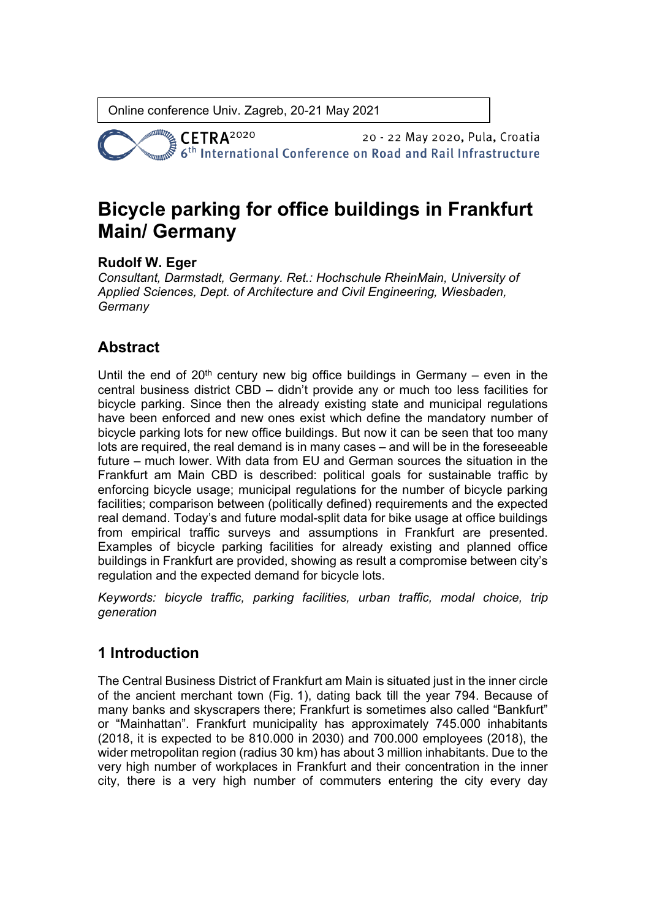**CETRA**<sup>2020</sup> 20 - 22 May 2020, Pula, Croatia 6<sup>th</sup> International Conference on Road and Rail Infrastructure

# **Bicycle parking for office buildings in Frankfurt Main/ Germany**

### **Rudolf W. Eger**

*Consultant, Darmstadt, Germany. Ret.: Hochschule RheinMain, University of Applied Sciences, Dept. of Architecture and Civil Engineering, Wiesbaden, Germany*

## **Abstract**

Until the end of  $20<sup>th</sup>$  century new big office buildings in Germany – even in the central business district CBD – didn't provide any or much too less facilities for bicycle parking. Since then the already existing state and municipal regulations have been enforced and new ones exist which define the mandatory number of bicycle parking lots for new office buildings. But now it can be seen that too many lots are required, the real demand is in many cases – and will be in the foreseeable future – much lower. With data from EU and German sources the situation in the Frankfurt am Main CBD is described: political goals for sustainable traffic by enforcing bicycle usage; municipal regulations for the number of bicycle parking facilities; comparison between (politically defined) requirements and the expected real demand. Today's and future modal-split data for bike usage at office buildings from empirical traffic surveys and assumptions in Frankfurt are presented. Examples of bicycle parking facilities for already existing and planned office buildings in Frankfurt are provided, showing as result a compromise between city's regulation and the expected demand for bicycle lots.

*Keywords: bicycle traffic, parking facilities, urban traffic, modal choice, trip generation*

### **1 Introduction**

The Central Business District of Frankfurt am Main is situated just in the inner circle of the ancient merchant town (Fig. 1), dating back till the year 794. Because of many banks and skyscrapers there; Frankfurt is sometimes also called "Bankfurt" or "Mainhattan". Frankfurt municipality has approximately 745.000 inhabitants (2018, it is expected to be 810.000 in 2030) and 700.000 employees (2018), the wider metropolitan region (radius 30 km) has about 3 million inhabitants. Due to the very high number of workplaces in Frankfurt and their concentration in the inner city, there is a very high number of commuters entering the city every day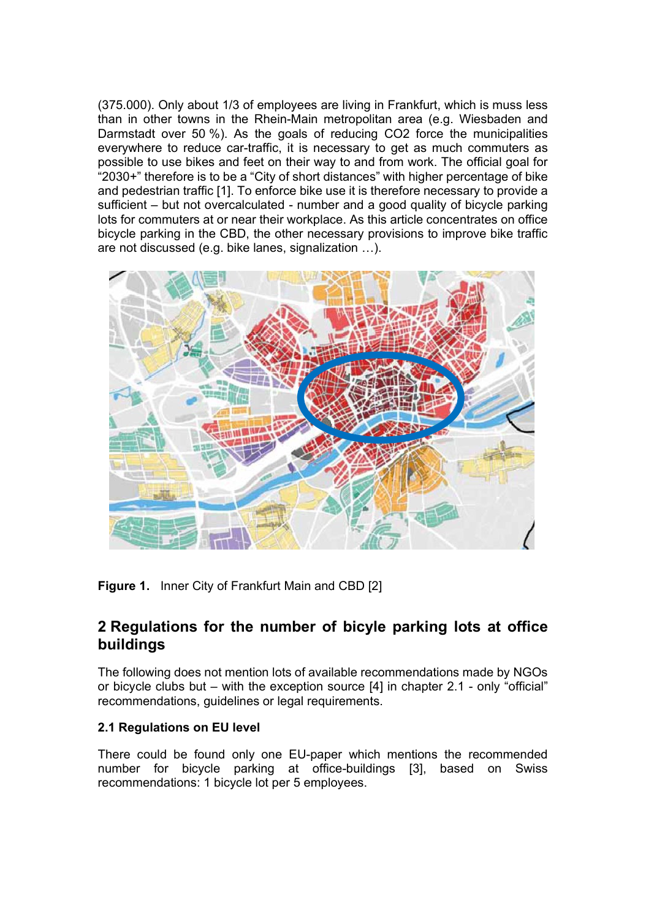(375.000). Only about 1/3 of employees are living in Frankfurt, which is muss less than in other towns in the Rhein-Main metropolitan area (e.g. Wiesbaden and Darmstadt over 50 %). As the goals of reducing CO2 force the municipalities everywhere to reduce car-traffic, it is necessary to get as much commuters as possible to use bikes and feet on their way to and from work. The official goal for "2030+" therefore is to be a "City of short distances" with higher percentage of bike and pedestrian traffic [1]. To enforce bike use it is therefore necessary to provide a sufficient – but not overcalculated - number and a good quality of bicycle parking lots for commuters at or near their workplace. As this article concentrates on office bicycle parking in the CBD, the other necessary provisions to improve bike traffic are not discussed (e.g. bike lanes, signalization …).



**Figure 1.** Inner City of Frankfurt Main and CBD [2]

### **2 Regulations for the number of bicyle parking lots at office buildings**

The following does not mention lots of available recommendations made by NGOs or bicycle clubs but – with the exception source [4] in chapter 2.1 - only "official" recommendations, guidelines or legal requirements.

#### **2.1 Regulations on EU level**

There could be found only one EU-paper which mentions the recommended number for bicycle parking at office-buildings [3], based on Swiss recommendations: 1 bicycle lot per 5 employees.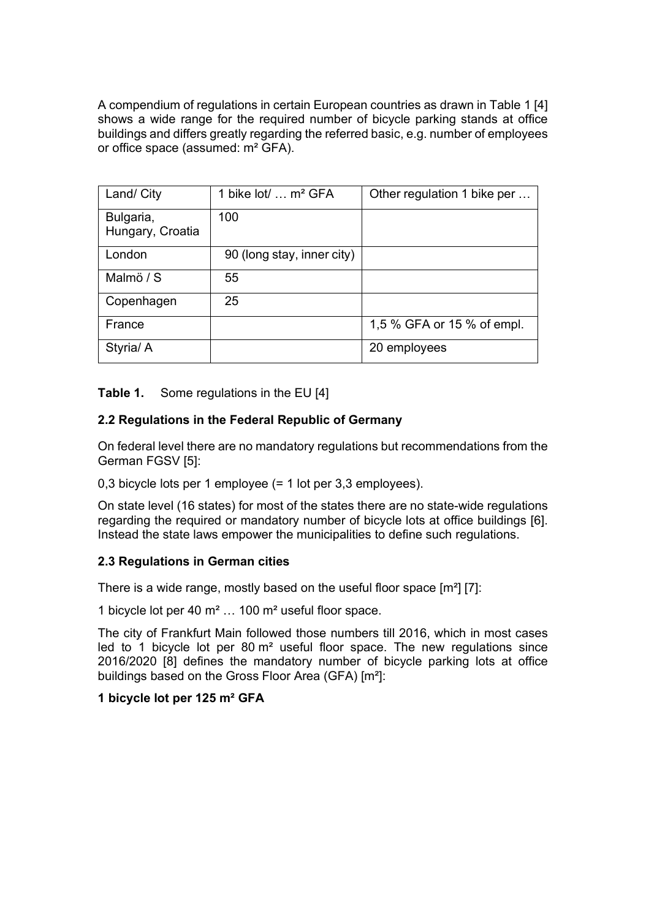A compendium of regulations in certain European countries as drawn in Table 1 [4] shows a wide range for the required number of bicycle parking stands at office buildings and differs greatly regarding the referred basic, e.g. number of employees or office space (assumed: m² GFA).

| Land/ City                    | 1 bike lot/  m <sup>2</sup> GFA | Other regulation 1 bike per |
|-------------------------------|---------------------------------|-----------------------------|
| Bulgaria,<br>Hungary, Croatia | 100                             |                             |
| London                        | 90 (long stay, inner city)      |                             |
| Malmö / S                     | 55                              |                             |
| Copenhagen                    | 25                              |                             |
| France                        |                                 | 1,5 % GFA or 15 % of empl.  |
| Styria/ A                     |                                 | 20 employees                |

#### **Table 1.** Some regulations in the EU [4]

#### **2.2 Regulations in the Federal Republic of Germany**

On federal level there are no mandatory regulations but recommendations from the German FGSV [5]:

0,3 bicycle lots per 1 employee (= 1 lot per 3,3 employees).

On state level (16 states) for most of the states there are no state-wide regulations regarding the required or mandatory number of bicycle lots at office buildings [6]. Instead the state laws empower the municipalities to define such regulations.

#### **2.3 Regulations in German cities**

There is a wide range, mostly based on the useful floor space [m²] [7]:

1 bicycle lot per 40 m² … 100 m² useful floor space.

The city of Frankfurt Main followed those numbers till 2016, which in most cases led to 1 bicycle lot per  $80 \text{ m}^2$  useful floor space. The new regulations since 2016/2020 [8] defines the mandatory number of bicycle parking lots at office buildings based on the Gross Floor Area (GFA) [m²]:

#### **1 bicycle lot per 125 m² GFA**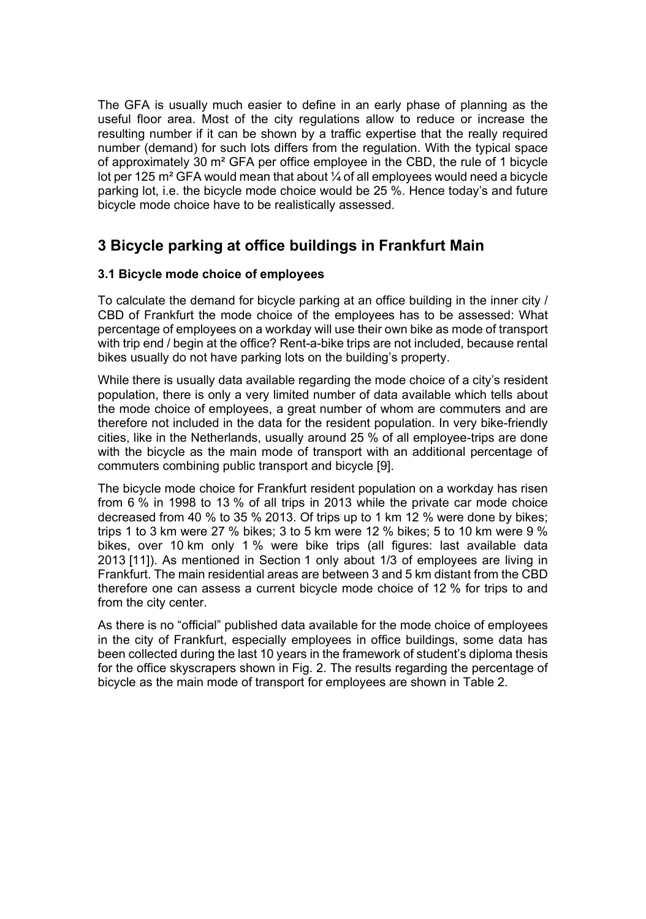The GFA is usually much easier to define in an early phase of planning as the useful floor area. Most of the city regulations allow to reduce or increase the resulting number if it can be shown by a traffic expertise that the really required number (demand) for such lots differs from the regulation. With the typical space of approximately 30 m² GFA per office employee in the CBD, the rule of 1 bicycle lot per 125 m<sup>2</sup> GFA would mean that about  $\frac{1}{4}$  of all employees would need a bicycle parking lot, i.e. the bicycle mode choice would be 25 %. Hence today's and future bicycle mode choice have to be realistically assessed.

# **3 Bicycle parking at office buildings in Frankfurt Main**

#### **3.1 Bicycle mode choice of employees**

To calculate the demand for bicycle parking at an office building in the inner city / CBD of Frankfurt the mode choice of the employees has to be assessed: What percentage of employees on a workday will use their own bike as mode of transport with trip end / begin at the office? Rent-a-bike trips are not included, because rental bikes usually do not have parking lots on the building's property.

While there is usually data available regarding the mode choice of a city's resident population, there is only a very limited number of data available which tells about the mode choice of employees, a great number of whom are commuters and are therefore not included in the data for the resident population. In very bike-friendly cities, like in the Netherlands, usually around 25 % of all employee-trips are done with the bicycle as the main mode of transport with an additional percentage of commuters combining public transport and bicycle [9].

The bicycle mode choice for Frankfurt resident population on a workday has risen from 6 % in 1998 to 13 % of all trips in 2013 while the private car mode choice decreased from 40 % to 35 % 2013. Of trips up to 1 km 12 % were done by bikes; trips 1 to 3 km were 27 % bikes; 3 to 5 km were 12 % bikes; 5 to 10 km were 9 % bikes, over 10 km only 1 % were bike trips (all figures: last available data 2013 [11]). As mentioned in Section 1 only about 1/3 of employees are living in Frankfurt. The main residential areas are between 3 and 5 km distant from the CBD therefore one can assess a current bicycle mode choice of 12 % for trips to and from the city center.

As there is no "official" published data available for the mode choice of employees in the city of Frankfurt, especially employees in office buildings, some data has been collected during the last 10 years in the framework of student's diploma thesis for the office skyscrapers shown in Fig. 2. The results regarding the percentage of bicycle as the main mode of transport for employees are shown in Table 2.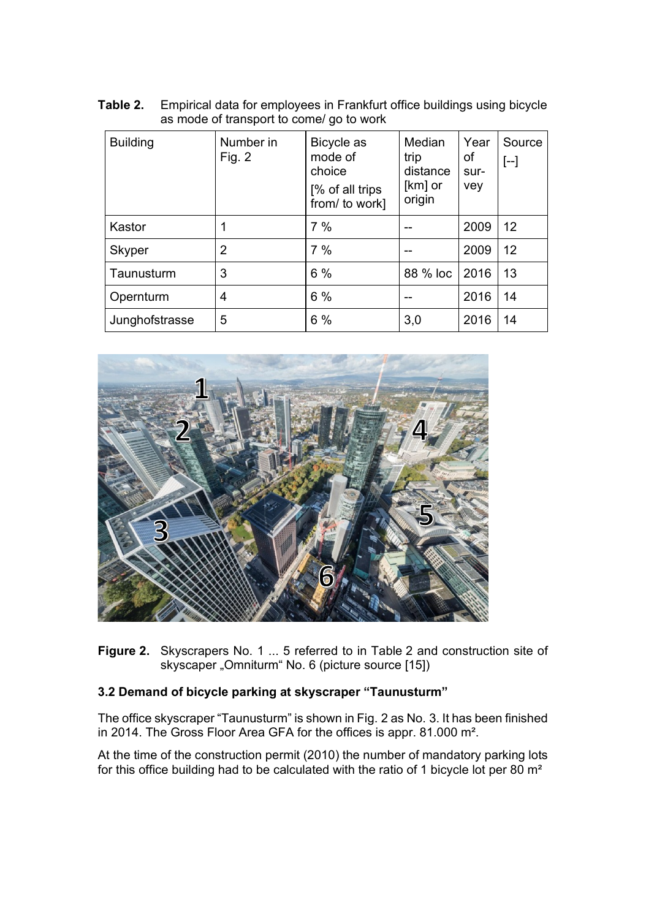| Table 2. | Empirical data for employees in Frankfurt office buildings using bicycle |
|----------|--------------------------------------------------------------------------|
|          | as mode of transport to come/ go to work                                 |

| <b>Building</b> | Number in<br>Fig. $2$ | Bicycle as<br>mode of<br>choice<br>[% of all trips<br>from/ to work] | Median<br>trip<br>distance<br>[km] or<br>origin | Year<br>of<br>sur-<br>vey | Source<br>$[-]$ |
|-----------------|-----------------------|----------------------------------------------------------------------|-------------------------------------------------|---------------------------|-----------------|
| Kastor          |                       | 7%                                                                   |                                                 | 2009                      | 12              |
| Skyper          | 2                     | 7%                                                                   |                                                 | 2009                      | 12              |
| Taunusturm      | 3                     | 6%                                                                   | 88 % loc                                        | 2016                      | 13              |
| Opernturm       | 4                     | 6 %                                                                  | --                                              | 2016                      | 14              |
| Junghofstrasse  | 5                     | 6%                                                                   | 3,0                                             | 2016                      | 14              |



**Figure 2.** Skyscrapers No. 1 ... 5 referred to in Table 2 and construction site of skyscaper "Omniturm" No. 6 (picture source [15])

### **3.2 Demand of bicycle parking at skyscraper "Taunusturm"**

The office skyscraper "Taunusturm" is shown in Fig. 2 as No. 3. It has been finished in 2014. The Gross Floor Area GFA for the offices is appr. 81.000 m².

At the time of the construction permit (2010) the number of mandatory parking lots for this office building had to be calculated with the ratio of 1 bicycle lot per 80 m²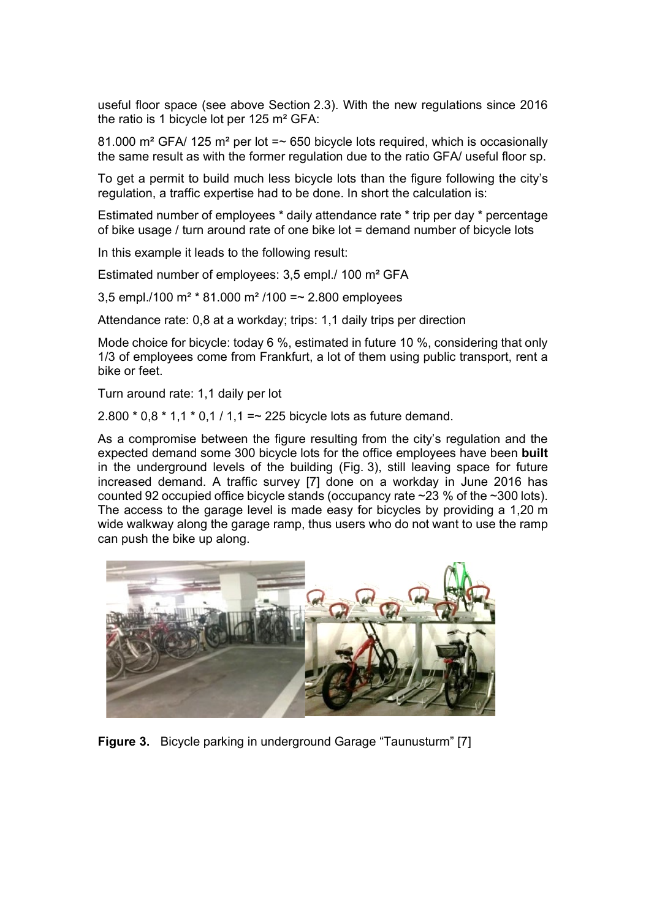useful floor space (see above Section 2.3). With the new regulations since 2016 the ratio is 1 bicycle lot per 125 m² GFA:

81.000 m<sup>2</sup> GFA/ 125 m<sup>2</sup> per lot  $=\infty$  650 bicycle lots required, which is occasionally the same result as with the former regulation due to the ratio GFA/ useful floor sp.

To get a permit to build much less bicycle lots than the figure following the city's regulation, a traffic expertise had to be done. In short the calculation is:

Estimated number of employees \* daily attendance rate \* trip per day \* percentage of bike usage / turn around rate of one bike lot = demand number of bicycle lots

In this example it leads to the following result:

Estimated number of employees: 3,5 empl./ 100 m² GFA

3,5 empl./100 m<sup>2</sup>  $*$  81.000 m<sup>2</sup>/100 =  $\sim$  2.800 employees

Attendance rate: 0,8 at a workday; trips: 1,1 daily trips per direction

Mode choice for bicycle: today 6 %, estimated in future 10 %, considering that only 1/3 of employees come from Frankfurt, a lot of them using public transport, rent a bike or feet.

Turn around rate: 1,1 daily per lot

2.800  $*$  0,8  $*$  1,1  $*$  0,1 / 1,1 =  $\sim$  225 bicycle lots as future demand.

As a compromise between the figure resulting from the city's regulation and the expected demand some 300 bicycle lots for the office employees have been **built** in the underground levels of the building (Fig. 3), still leaving space for future increased demand. A traffic survey [7] done on a workday in June 2016 has counted 92 occupied office bicycle stands (occupancy rate ~23 % of the ~300 lots). The access to the garage level is made easy for bicycles by providing a 1,20 m wide walkway along the garage ramp, thus users who do not want to use the ramp can push the bike up along.



**Figure 3.** Bicycle parking in underground Garage "Taunusturm" [7]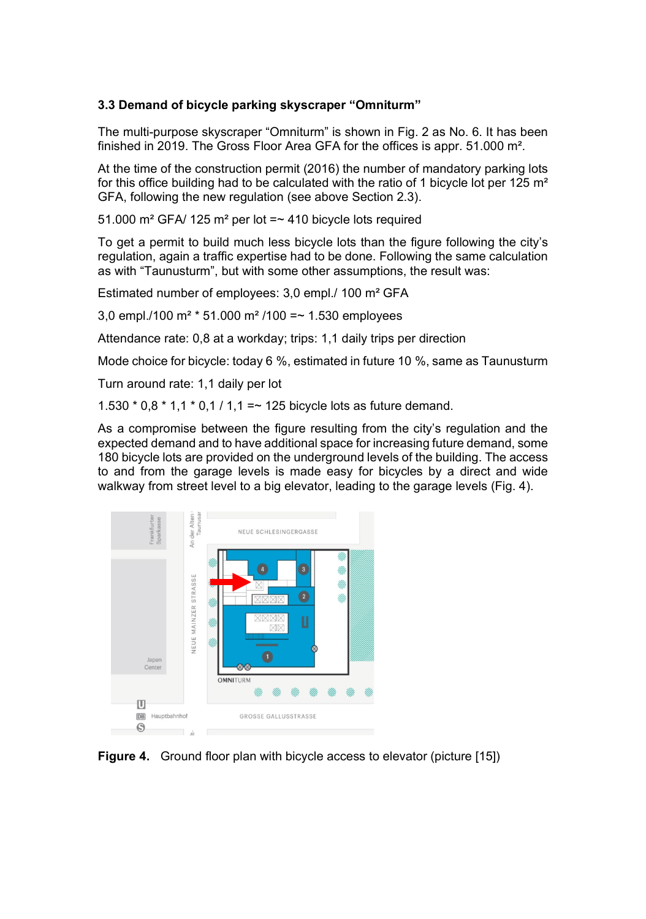#### **3.3 Demand of bicycle parking skyscraper "Omniturm"**

The multi-purpose skyscraper "Omniturm" is shown in Fig. 2 as No. 6. It has been finished in 2019. The Gross Floor Area GFA for the offices is appr. 51.000 m².

At the time of the construction permit (2016) the number of mandatory parking lots for this office building had to be calculated with the ratio of 1 bicycle lot per 125  $m<sup>2</sup>$ GFA, following the new regulation (see above Section 2.3).

51.000 m² GFA/ 125 m² per lot =~ 410 bicycle lots required

To get a permit to build much less bicycle lots than the figure following the city's regulation, again a traffic expertise had to be done. Following the same calculation as with "Taunusturm", but with some other assumptions, the result was:

Estimated number of employees: 3,0 empl./ 100 m² GFA

3,0 empl./100 m<sup>2</sup>  $\pm$  51.000 m<sup>2</sup>/100 =  $\sim$  1.530 employees

Attendance rate: 0,8 at a workday; trips: 1,1 daily trips per direction

Mode choice for bicycle: today 6 %, estimated in future 10 %, same as Taunusturm

Turn around rate: 1,1 daily per lot

1.530  $*$  0,8  $*$  1,1  $*$  0,1 / 1,1 =  $*$  125 bicycle lots as future demand.

As a compromise between the figure resulting from the city's regulation and the expected demand and to have additional space for increasing future demand, some 180 bicycle lots are provided on the underground levels of the building. The access to and from the garage levels is made easy for bicycles by a direct and wide walkway from street level to a big elevator, leading to the garage levels (Fig. 4).



**Figure 4.** Ground floor plan with bicycle access to elevator (picture [15])